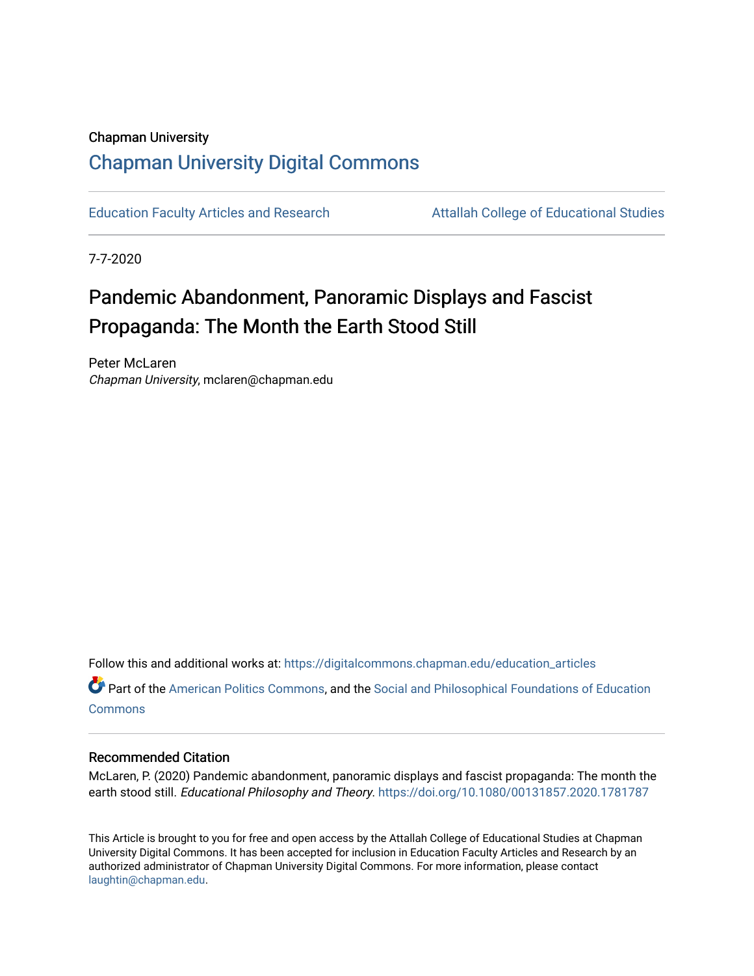# Chapman University [Chapman University Digital Commons](https://digitalcommons.chapman.edu/)

[Education Faculty Articles and Research](https://digitalcommons.chapman.edu/education_articles) [Attallah College of Educational Studies](https://digitalcommons.chapman.edu/ces) 

7-7-2020

# Pandemic Abandonment, Panoramic Displays and Fascist Propaganda: The Month the Earth Stood Still

Peter McLaren Chapman University, mclaren@chapman.edu

Follow this and additional works at: [https://digitalcommons.chapman.edu/education\\_articles](https://digitalcommons.chapman.edu/education_articles?utm_source=digitalcommons.chapman.edu%2Feducation_articles%2F263&utm_medium=PDF&utm_campaign=PDFCoverPages)

Part of the [American Politics Commons,](http://network.bepress.com/hgg/discipline/387?utm_source=digitalcommons.chapman.edu%2Feducation_articles%2F263&utm_medium=PDF&utm_campaign=PDFCoverPages) and the [Social and Philosophical Foundations of Education](http://network.bepress.com/hgg/discipline/799?utm_source=digitalcommons.chapman.edu%2Feducation_articles%2F263&utm_medium=PDF&utm_campaign=PDFCoverPages)  [Commons](http://network.bepress.com/hgg/discipline/799?utm_source=digitalcommons.chapman.edu%2Feducation_articles%2F263&utm_medium=PDF&utm_campaign=PDFCoverPages)

#### Recommended Citation

McLaren, P. (2020) Pandemic abandonment, panoramic displays and fascist propaganda: The month the earth stood still. Educational Philosophy and Theory.<https://doi.org/10.1080/00131857.2020.1781787>

This Article is brought to you for free and open access by the Attallah College of Educational Studies at Chapman University Digital Commons. It has been accepted for inclusion in Education Faculty Articles and Research by an authorized administrator of Chapman University Digital Commons. For more information, please contact [laughtin@chapman.edu.](mailto:laughtin@chapman.edu)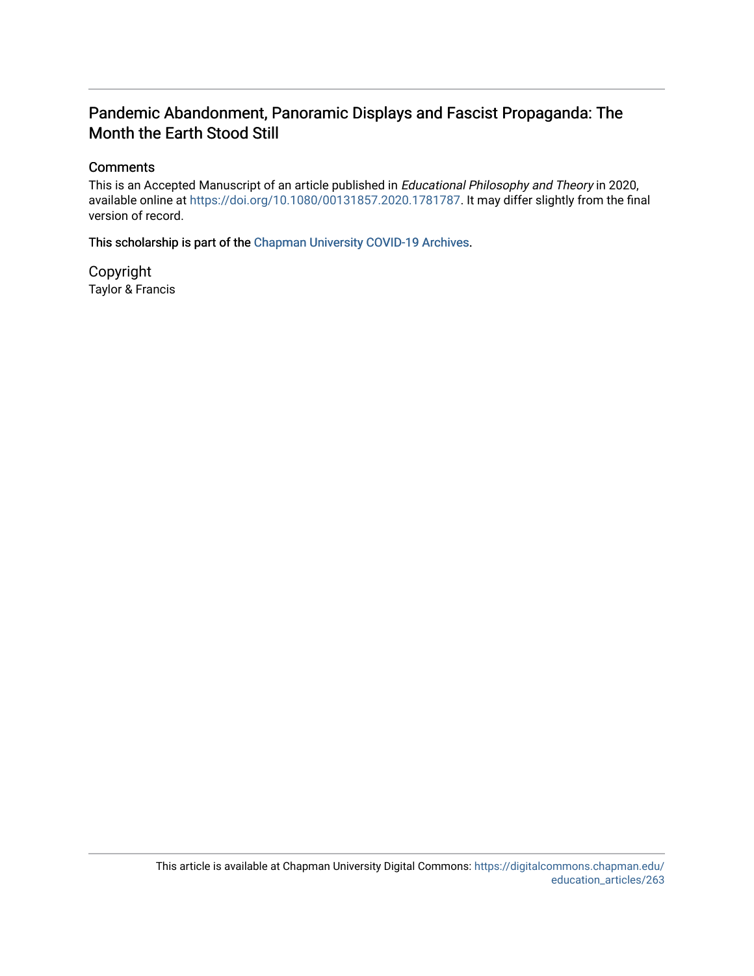# Pandemic Abandonment, Panoramic Displays and Fascist Propaganda: The Month the Earth Stood Still

#### **Comments**

This is an Accepted Manuscript of an article published in Educational Philosophy and Theory in 2020, available online at<https://doi.org/10.1080/00131857.2020.1781787>. It may differ slightly from the final version of record.

This scholarship is part of the [Chapman University COVID-19 Archives](https://digitalcommons.chapman.edu/covid-19_archives/).

Copyright Taylor & Francis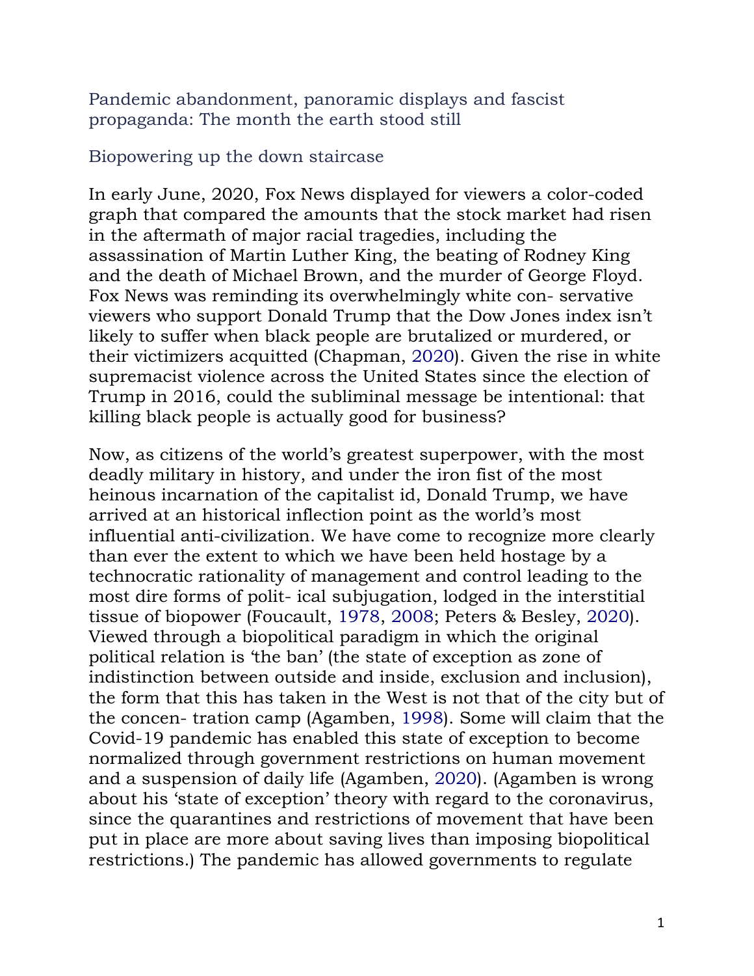Pandemic abandonment, panoramic displays and fascist propaganda: The month the earth stood still

### Biopowering up the down staircase

In early June, 2020, Fox News displayed for viewers a color-coded graph that compared the amounts that the stock market had risen in the aftermath of major racial tragedies, including the assassination of Martin Luther King, the beating of Rodney King and the death of Michael Brown, and the murder of George Floyd. Fox News was reminding its overwhelmingly white con- servative viewers who support Donald Trump that the Dow Jones index isn't likely to suffer when black people are brutalized or murdered, or their victimizers acquitted (Chapman, 2020). Given the rise in white supremacist violence across the United States since the election of Trump in 2016, could the subliminal message be intentional: that killing black people is actually good for business?

Now, as citizens of the world's greatest superpower, with the most deadly military in history, and under the iron fist of the most heinous incarnation of the capitalist id, Donald Trump, we have arrived at an historical inflection point as the world's most influential anti-civilization. We have come to recognize more clearly than ever the extent to which we have been held hostage by a technocratic rationality of management and control leading to the most dire forms of polit- ical subjugation, lodged in the interstitial tissue of biopower (Foucault, 1978, 2008; Peters & Besley, 2020). Viewed through a biopolitical paradigm in which the original political relation is 'the ban' (the state of exception as zone of indistinction between outside and inside, exclusion and inclusion), the form that this has taken in the West is not that of the city but of the concen- tration camp (Agamben, 1998). Some will claim that the Covid-19 pandemic has enabled this state of exception to become normalized through government restrictions on human movement and a suspension of daily life (Agamben, 2020). (Agamben is wrong about his 'state of exception' theory with regard to the coronavirus, since the quarantines and restrictions of movement that have been put in place are more about saving lives than imposing biopolitical restrictions.) The pandemic has allowed governments to regulate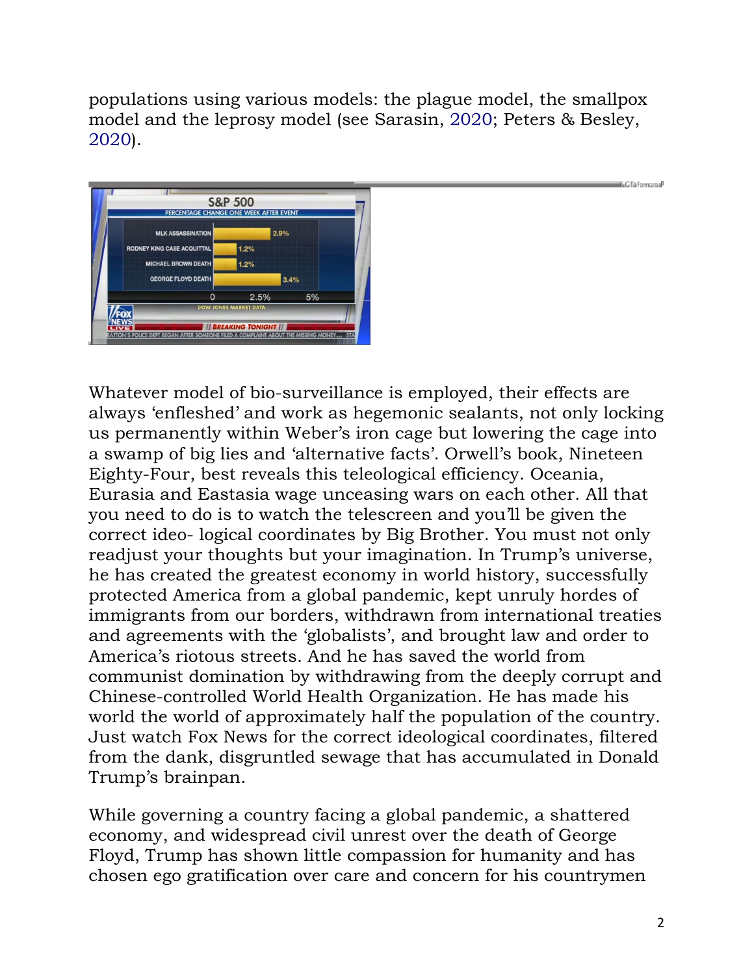populations using various models: the plague model, the smallpox model and the leprosy model (see Sarasin, 2020; Peters & Besley, 2020).



Whatever model of bio-surveillance is employed, their effects are always 'enfleshed' and work as hegemonic sealants, not only locking us permanently within Weber's iron cage but lowering the cage into a swamp of big lies and 'alternative facts'. Orwell's book, Nineteen Eighty-Four, best reveals this teleological efficiency. Oceania, Eurasia and Eastasia wage unceasing wars on each other. All that you need to do is to watch the telescreen and you'll be given the correct ideo- logical coordinates by Big Brother. You must not only readjust your thoughts but your imagination. In Trump's universe, he has created the greatest economy in world history, successfully protected America from a global pandemic, kept unruly hordes of immigrants from our borders, withdrawn from international treaties and agreements with the 'globalists', and brought law and order to America's riotous streets. And he has saved the world from communist domination by withdrawing from the deeply corrupt and Chinese-controlled World Health Organization. He has made his world the world of approximately half the population of the country. Just watch Fox News for the correct ideological coordinates, filtered from the dank, disgruntled sewage that has accumulated in Donald Trump's brainpan.

While governing a country facing a global pandemic, a shattered economy, and widespread civil unrest over the death of George Floyd, Trump has shown little compassion for humanity and has chosen ego gratification over care and concern for his countrymen

&GTaFomsoal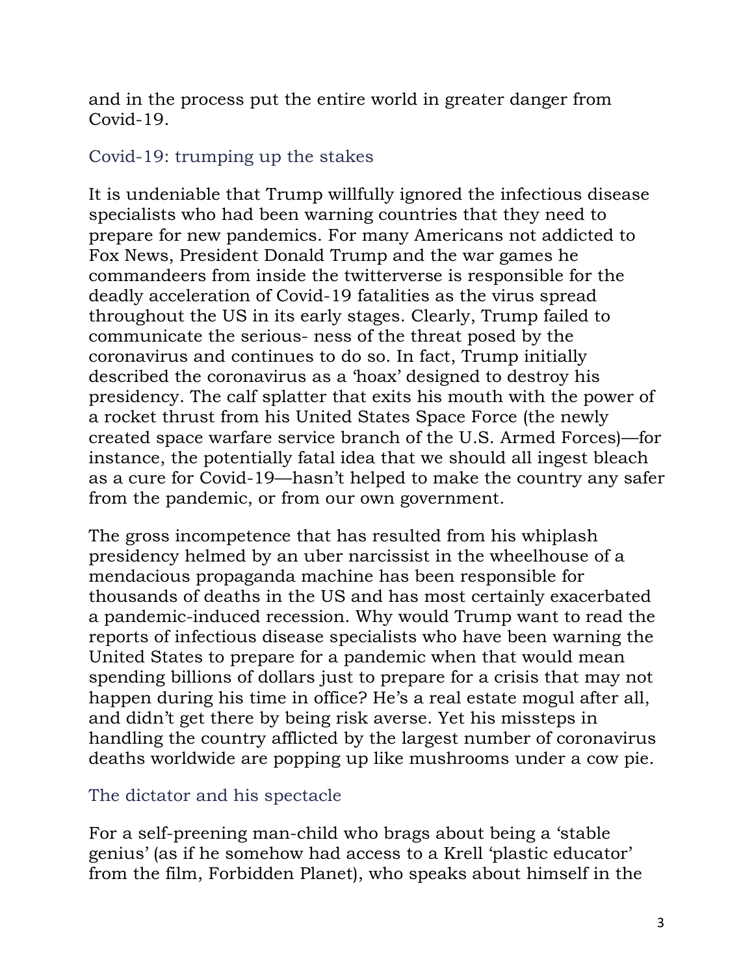and in the process put the entire world in greater danger from Covid-19.

# Covid-19: trumping up the stakes

It is undeniable that Trump willfully ignored the infectious disease specialists who had been warning countries that they need to prepare for new pandemics. For many Americans not addicted to Fox News, President Donald Trump and the war games he commandeers from inside the twitterverse is responsible for the deadly acceleration of Covid-19 fatalities as the virus spread throughout the US in its early stages. Clearly, Trump failed to communicate the serious- ness of the threat posed by the coronavirus and continues to do so. In fact, Trump initially described the coronavirus as a 'hoax' designed to destroy his presidency. The calf splatter that exits his mouth with the power of a rocket thrust from his United States Space Force (the newly created space warfare service branch of the U.S. Armed Forces)—for instance, the potentially fatal idea that we should all ingest bleach as a cure for Covid-19—hasn't helped to make the country any safer from the pandemic, or from our own government.

The gross incompetence that has resulted from his whiplash presidency helmed by an uber narcissist in the wheelhouse of a mendacious propaganda machine has been responsible for thousands of deaths in the US and has most certainly exacerbated a pandemic-induced recession. Why would Trump want to read the reports of infectious disease specialists who have been warning the United States to prepare for a pandemic when that would mean spending billions of dollars just to prepare for a crisis that may not happen during his time in office? He's a real estate mogul after all, and didn't get there by being risk averse. Yet his missteps in handling the country afflicted by the largest number of coronavirus deaths worldwide are popping up like mushrooms under a cow pie.

# The dictator and his spectacle

For a self-preening man-child who brags about being a 'stable genius' (as if he somehow had access to a Krell 'plastic educator' from the film, Forbidden Planet), who speaks about himself in the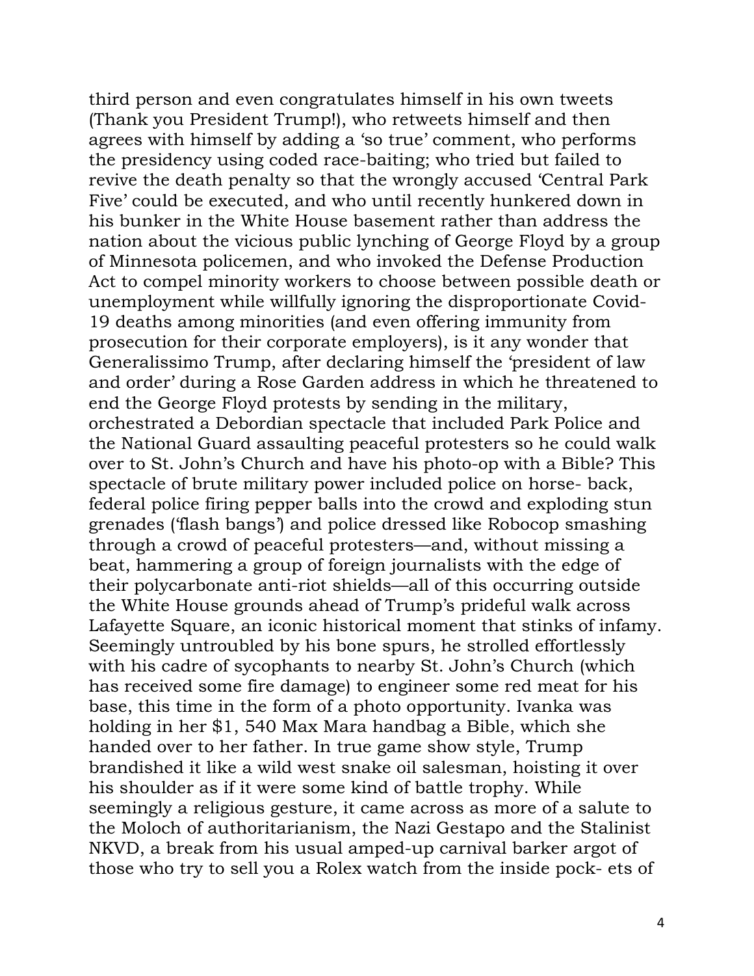third person and even congratulates himself in his own tweets (Thank you President Trump!), who retweets himself and then agrees with himself by adding a 'so true' comment, who performs the presidency using coded race-baiting; who tried but failed to revive the death penalty so that the wrongly accused 'Central Park Five' could be executed, and who until recently hunkered down in his bunker in the White House basement rather than address the nation about the vicious public lynching of George Floyd by a group of Minnesota policemen, and who invoked the Defense Production Act to compel minority workers to choose between possible death or unemployment while willfully ignoring the disproportionate Covid-19 deaths among minorities (and even offering immunity from prosecution for their corporate employers), is it any wonder that Generalissimo Trump, after declaring himself the 'president of law and order' during a Rose Garden address in which he threatened to end the George Floyd protests by sending in the military, orchestrated a Debordian spectacle that included Park Police and the National Guard assaulting peaceful protesters so he could walk over to St. John's Church and have his photo-op with a Bible? This spectacle of brute military power included police on horse- back, federal police firing pepper balls into the crowd and exploding stun grenades ('flash bangs') and police dressed like Robocop smashing through a crowd of peaceful protesters—and, without missing a beat, hammering a group of foreign journalists with the edge of their polycarbonate anti-riot shields—all of this occurring outside the White House grounds ahead of Trump's prideful walk across Lafayette Square, an iconic historical moment that stinks of infamy. Seemingly untroubled by his bone spurs, he strolled effortlessly with his cadre of sycophants to nearby St. John's Church (which has received some fire damage) to engineer some red meat for his base, this time in the form of a photo opportunity. Ivanka was holding in her \$1, 540 Max Mara handbag a Bible, which she handed over to her father. In true game show style, Trump brandished it like a wild west snake oil salesman, hoisting it over his shoulder as if it were some kind of battle trophy. While seemingly a religious gesture, it came across as more of a salute to the Moloch of authoritarianism, the Nazi Gestapo and the Stalinist NKVD, a break from his usual amped-up carnival barker argot of those who try to sell you a Rolex watch from the inside pock- ets of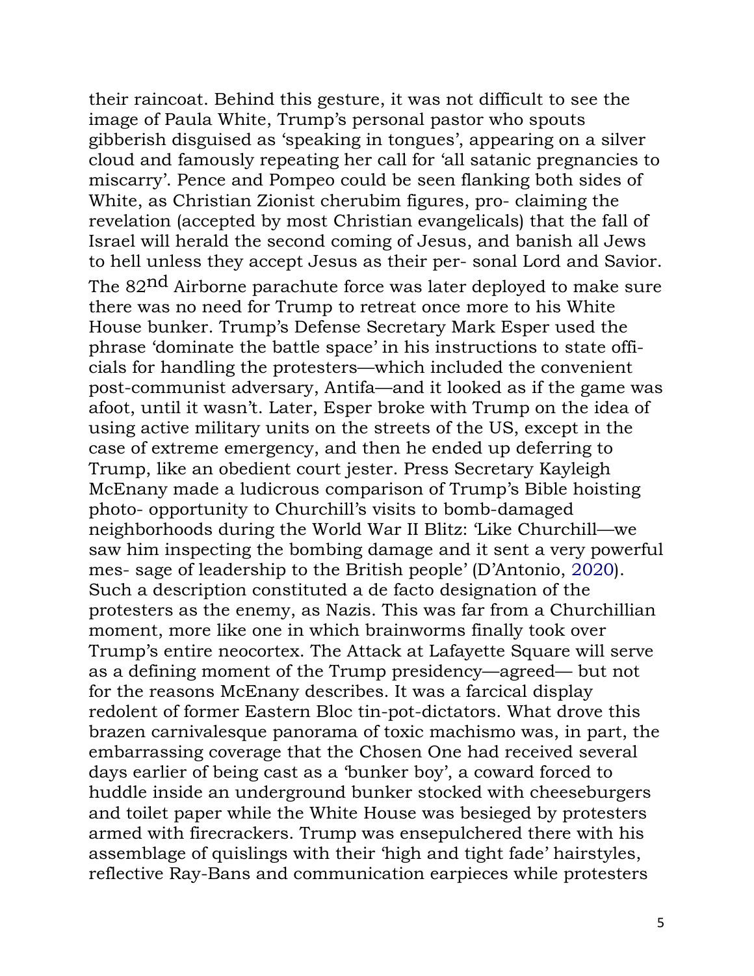their raincoat. Behind this gesture, it was not difficult to see the image of Paula White, Trump's personal pastor who spouts gibberish disguised as 'speaking in tongues', appearing on a silver cloud and famously repeating her call for 'all satanic pregnancies to miscarry'. Pence and Pompeo could be seen flanking both sides of White, as Christian Zionist cherubim figures, pro- claiming the revelation (accepted by most Christian evangelicals) that the fall of Israel will herald the second coming of Jesus, and banish all Jews to hell unless they accept Jesus as their per- sonal Lord and Savior. The 82<sup>nd</sup> Airborne parachute force was later deployed to make sure there was no need for Trump to retreat once more to his White House bunker. Trump's Defense Secretary Mark Esper used the phrase 'dominate the battle space' in his instructions to state officials for handling the protesters—which included the convenient post-communist adversary, Antifa—and it looked as if the game was afoot, until it wasn't. Later, Esper broke with Trump on the idea of using active military units on the streets of the US, except in the case of extreme emergency, and then he ended up deferring to Trump, like an obedient court jester. Press Secretary Kayleigh McEnany made a ludicrous comparison of Trump's Bible hoisting photo- opportunity to Churchill's visits to bomb-damaged neighborhoods during the World War II Blitz: 'Like Churchill—we saw him inspecting the bombing damage and it sent a very powerful mes- sage of leadership to the British people' (D'Antonio, 2020). Such a description constituted a de facto designation of the protesters as the enemy, as Nazis. This was far from a Churchillian moment, more like one in which brainworms finally took over Trump's entire neocortex. The Attack at Lafayette Square will serve as a defining moment of the Trump presidency—agreed— but not for the reasons McEnany describes. It was a farcical display redolent of former Eastern Bloc tin-pot-dictators. What drove this brazen carnivalesque panorama of toxic machismo was, in part, the embarrassing coverage that the Chosen One had received several days earlier of being cast as a 'bunker boy', a coward forced to huddle inside an underground bunker stocked with cheeseburgers and toilet paper while the White House was besieged by protesters armed with firecrackers. Trump was ensepulchered there with his assemblage of quislings with their 'high and tight fade' hairstyles, reflective Ray-Bans and communication earpieces while protesters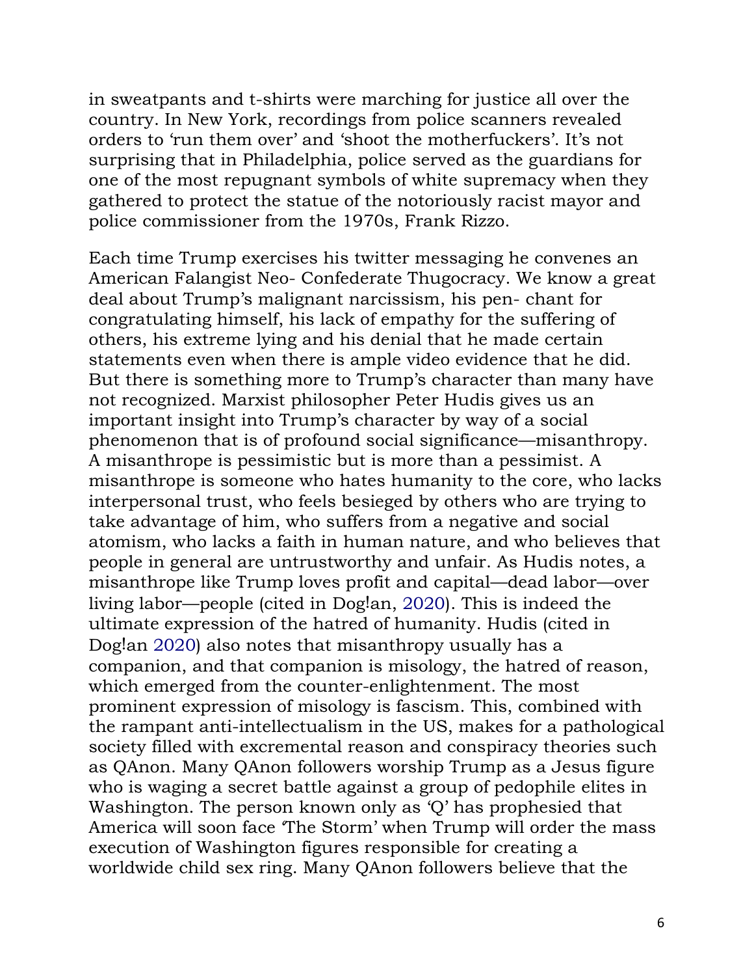in sweatpants and t-shirts were marching for justice all over the country. In New York, recordings from police scanners revealed orders to 'run them over' and 'shoot the motherfuckers'. It's not surprising that in Philadelphia, police served as the guardians for one of the most repugnant symbols of white supremacy when they gathered to protect the statue of the notoriously racist mayor and police commissioner from the 1970s, Frank Rizzo.

Each time Trump exercises his twitter messaging he convenes an American Falangist Neo- Confederate Thugocracy. We know a great deal about Trump's malignant narcissism, his pen- chant for congratulating himself, his lack of empathy for the suffering of others, his extreme lying and his denial that he made certain statements even when there is ample video evidence that he did. But there is something more to Trump's character than many have not recognized. Marxist philosopher Peter Hudis gives us an important insight into Trump's character by way of a social phenomenon that is of profound social significance—misanthropy. A misanthrope is pessimistic but is more than a pessimist. A misanthrope is someone who hates humanity to the core, who lacks interpersonal trust, who feels besieged by others who are trying to take advantage of him, who suffers from a negative and social atomism, who lacks a faith in human nature, and who believes that people in general are untrustworthy and unfair. As Hudis notes, a misanthrope like Trump loves profit and capital—dead labor—over living labor—people (cited in Dog!an, 2020). This is indeed the ultimate expression of the hatred of humanity. Hudis (cited in Dog!an 2020) also notes that misanthropy usually has a companion, and that companion is misology, the hatred of reason, which emerged from the counter-enlightenment. The most prominent expression of misology is fascism. This, combined with the rampant anti-intellectualism in the US, makes for a pathological society filled with excremental reason and conspiracy theories such as QAnon. Many QAnon followers worship Trump as a Jesus figure who is waging a secret battle against a group of pedophile elites in Washington. The person known only as 'Q' has prophesied that America will soon face 'The Storm' when Trump will order the mass execution of Washington figures responsible for creating a worldwide child sex ring. Many QAnon followers believe that the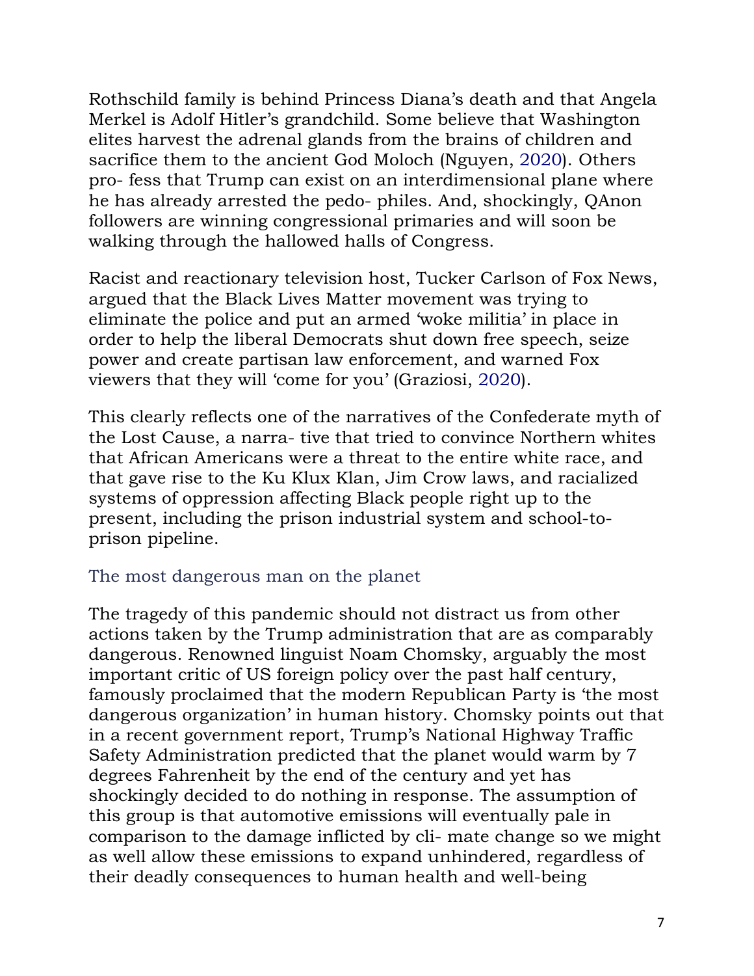Rothschild family is behind Princess Diana's death and that Angela Merkel is Adolf Hitler's grandchild. Some believe that Washington elites harvest the adrenal glands from the brains of children and sacrifice them to the ancient God Moloch (Nguyen, 2020). Others pro- fess that Trump can exist on an interdimensional plane where he has already arrested the pedo- philes. And, shockingly, QAnon followers are winning congressional primaries and will soon be walking through the hallowed halls of Congress.

Racist and reactionary television host, Tucker Carlson of Fox News, argued that the Black Lives Matter movement was trying to eliminate the police and put an armed 'woke militia' in place in order to help the liberal Democrats shut down free speech, seize power and create partisan law enforcement, and warned Fox viewers that they will 'come for you' (Graziosi, 2020).

This clearly reflects one of the narratives of the Confederate myth of the Lost Cause, a narra- tive that tried to convince Northern whites that African Americans were a threat to the entire white race, and that gave rise to the Ku Klux Klan, Jim Crow laws, and racialized systems of oppression affecting Black people right up to the present, including the prison industrial system and school-toprison pipeline.

# The most dangerous man on the planet

The tragedy of this pandemic should not distract us from other actions taken by the Trump administration that are as comparably dangerous. Renowned linguist Noam Chomsky, arguably the most important critic of US foreign policy over the past half century, famously proclaimed that the modern Republican Party is 'the most dangerous organization' in human history. Chomsky points out that in a recent government report, Trump's National Highway Traffic Safety Administration predicted that the planet would warm by 7 degrees Fahrenheit by the end of the century and yet has shockingly decided to do nothing in response. The assumption of this group is that automotive emissions will eventually pale in comparison to the damage inflicted by cli- mate change so we might as well allow these emissions to expand unhindered, regardless of their deadly consequences to human health and well-being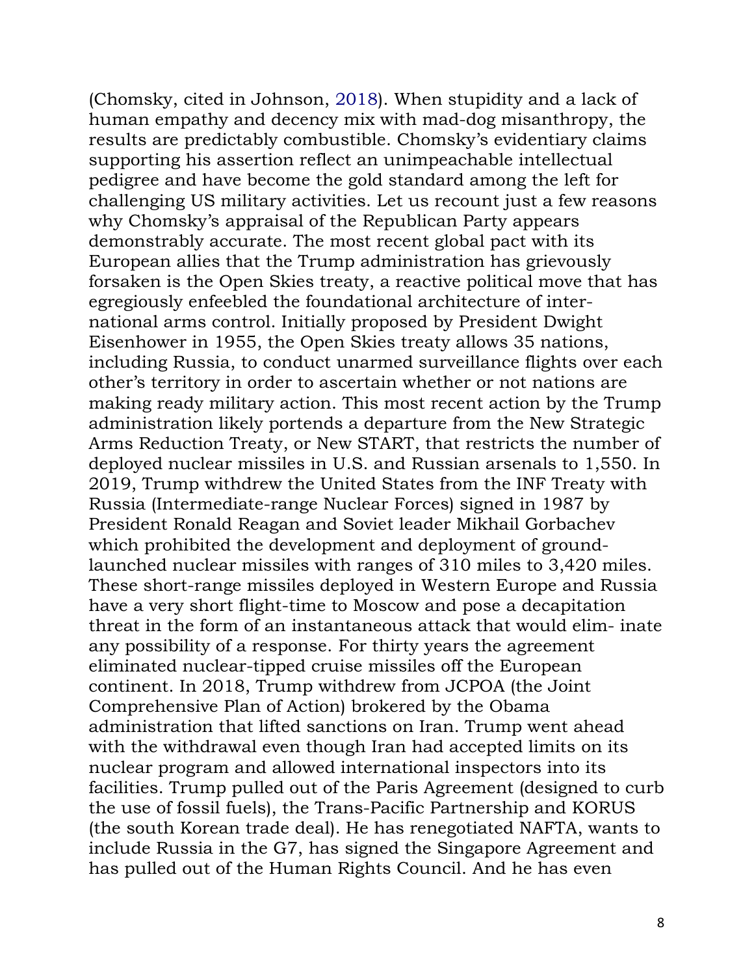(Chomsky, cited in Johnson, 2018). When stupidity and a lack of human empathy and decency mix with mad-dog misanthropy, the results are predictably combustible. Chomsky's evidentiary claims supporting his assertion reflect an unimpeachable intellectual pedigree and have become the gold standard among the left for challenging US military activities. Let us recount just a few reasons why Chomsky's appraisal of the Republican Party appears demonstrably accurate. The most recent global pact with its European allies that the Trump administration has grievously forsaken is the Open Skies treaty, a reactive political move that has egregiously enfeebled the foundational architecture of international arms control. Initially proposed by President Dwight Eisenhower in 1955, the Open Skies treaty allows 35 nations, including Russia, to conduct unarmed surveillance flights over each other's territory in order to ascertain whether or not nations are making ready military action. This most recent action by the Trump administration likely portends a departure from the New Strategic Arms Reduction Treaty, or New START, that restricts the number of deployed nuclear missiles in U.S. and Russian arsenals to 1,550. In 2019, Trump withdrew the United States from the INF Treaty with Russia (Intermediate-range Nuclear Forces) signed in 1987 by President Ronald Reagan and Soviet leader Mikhail Gorbachev which prohibited the development and deployment of groundlaunched nuclear missiles with ranges of 310 miles to 3,420 miles. These short-range missiles deployed in Western Europe and Russia have a very short flight-time to Moscow and pose a decapitation threat in the form of an instantaneous attack that would elim- inate any possibility of a response. For thirty years the agreement eliminated nuclear-tipped cruise missiles off the European continent. In 2018, Trump withdrew from JCPOA (the Joint Comprehensive Plan of Action) brokered by the Obama administration that lifted sanctions on Iran. Trump went ahead with the withdrawal even though Iran had accepted limits on its nuclear program and allowed international inspectors into its facilities. Trump pulled out of the Paris Agreement (designed to curb the use of fossil fuels), the Trans-Pacific Partnership and KORUS (the south Korean trade deal). He has renegotiated NAFTA, wants to include Russia in the G7, has signed the Singapore Agreement and has pulled out of the Human Rights Council. And he has even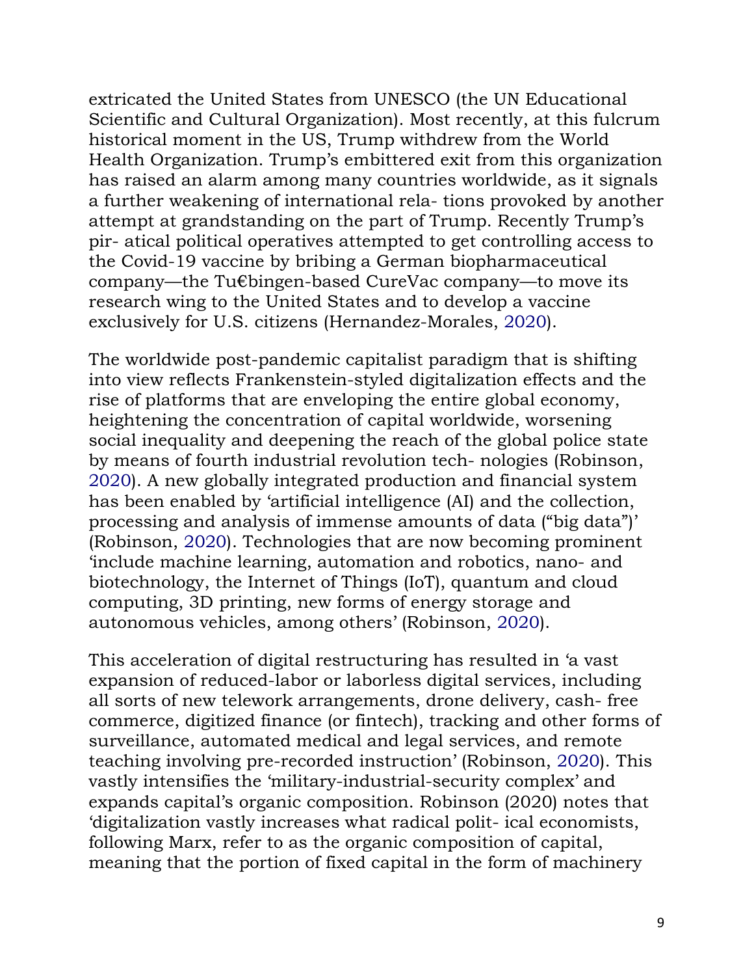extricated the United States from UNESCO (the UN Educational Scientific and Cultural Organization). Most recently, at this fulcrum historical moment in the US, Trump withdrew from the World Health Organization. Trump's embittered exit from this organization has raised an alarm among many countries worldwide, as it signals a further weakening of international rela- tions provoked by another attempt at grandstanding on the part of Trump. Recently Trump's pir- atical political operatives attempted to get controlling access to the Covid-19 vaccine by bribing a German biopharmaceutical company—the Tu€bingen-based CureVac company—to move its research wing to the United States and to develop a vaccine exclusively for U.S. citizens (Hernandez-Morales, 2020).

The worldwide post-pandemic capitalist paradigm that is shifting into view reflects Frankenstein-styled digitalization effects and the rise of platforms that are enveloping the entire global economy, heightening the concentration of capital worldwide, worsening social inequality and deepening the reach of the global police state by means of fourth industrial revolution tech- nologies (Robinson, 2020). A new globally integrated production and financial system has been enabled by 'artificial intelligence (AI) and the collection, processing and analysis of immense amounts of data ("big data")' (Robinson, 2020). Technologies that are now becoming prominent 'include machine learning, automation and robotics, nano- and biotechnology, the Internet of Things (IoT), quantum and cloud computing, 3D printing, new forms of energy storage and autonomous vehicles, among others' (Robinson, 2020).

This acceleration of digital restructuring has resulted in 'a vast expansion of reduced-labor or laborless digital services, including all sorts of new telework arrangements, drone delivery, cash- free commerce, digitized finance (or fintech), tracking and other forms of surveillance, automated medical and legal services, and remote teaching involving pre-recorded instruction' (Robinson, 2020). This vastly intensifies the 'military-industrial-security complex' and expands capital's organic composition. Robinson (2020) notes that 'digitalization vastly increases what radical polit- ical economists, following Marx, refer to as the organic composition of capital, meaning that the portion of fixed capital in the form of machinery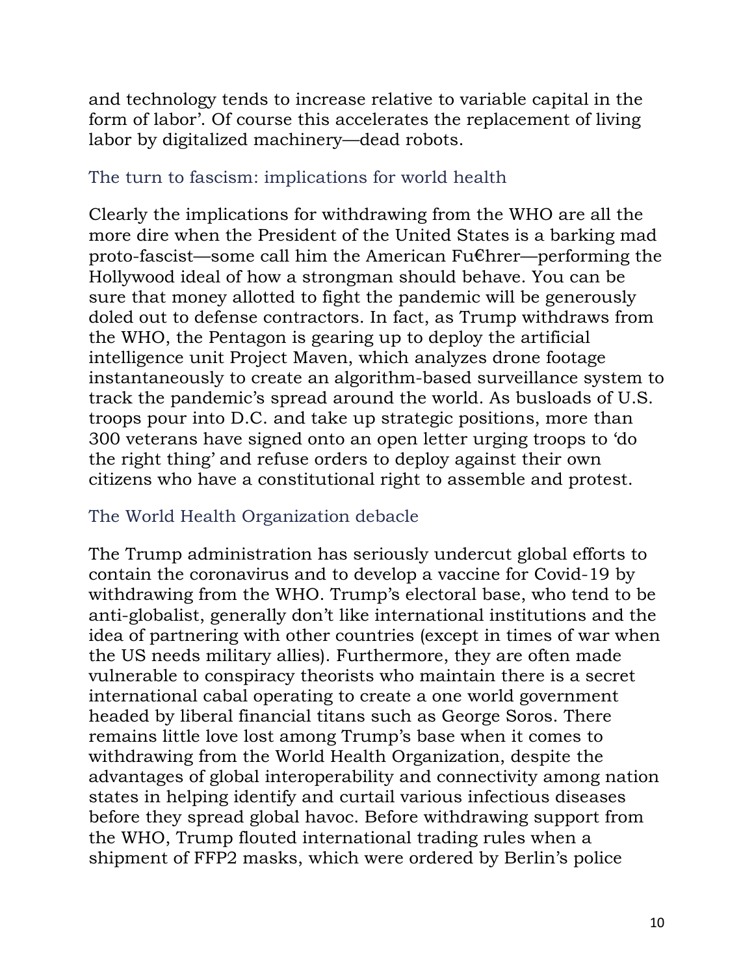and technology tends to increase relative to variable capital in the form of labor'. Of course this accelerates the replacement of living labor by digitalized machinery—dead robots.

# The turn to fascism: implications for world health

Clearly the implications for withdrawing from the WHO are all the more dire when the President of the United States is a barking mad proto-fascist—some call him the American Fu€hrer—performing the Hollywood ideal of how a strongman should behave. You can be sure that money allotted to fight the pandemic will be generously doled out to defense contractors. In fact, as Trump withdraws from the WHO, the Pentagon is gearing up to deploy the artificial intelligence unit Project Maven, which analyzes drone footage instantaneously to create an algorithm-based surveillance system to track the pandemic's spread around the world. As busloads of U.S. troops pour into D.C. and take up strategic positions, more than 300 veterans have signed onto an open letter urging troops to 'do the right thing' and refuse orders to deploy against their own citizens who have a constitutional right to assemble and protest.

# The World Health Organization debacle

The Trump administration has seriously undercut global efforts to contain the coronavirus and to develop a vaccine for Covid-19 by withdrawing from the WHO. Trump's electoral base, who tend to be anti-globalist, generally don't like international institutions and the idea of partnering with other countries (except in times of war when the US needs military allies). Furthermore, they are often made vulnerable to conspiracy theorists who maintain there is a secret international cabal operating to create a one world government headed by liberal financial titans such as George Soros. There remains little love lost among Trump's base when it comes to withdrawing from the World Health Organization, despite the advantages of global interoperability and connectivity among nation states in helping identify and curtail various infectious diseases before they spread global havoc. Before withdrawing support from the WHO, Trump flouted international trading rules when a shipment of FFP2 masks, which were ordered by Berlin's police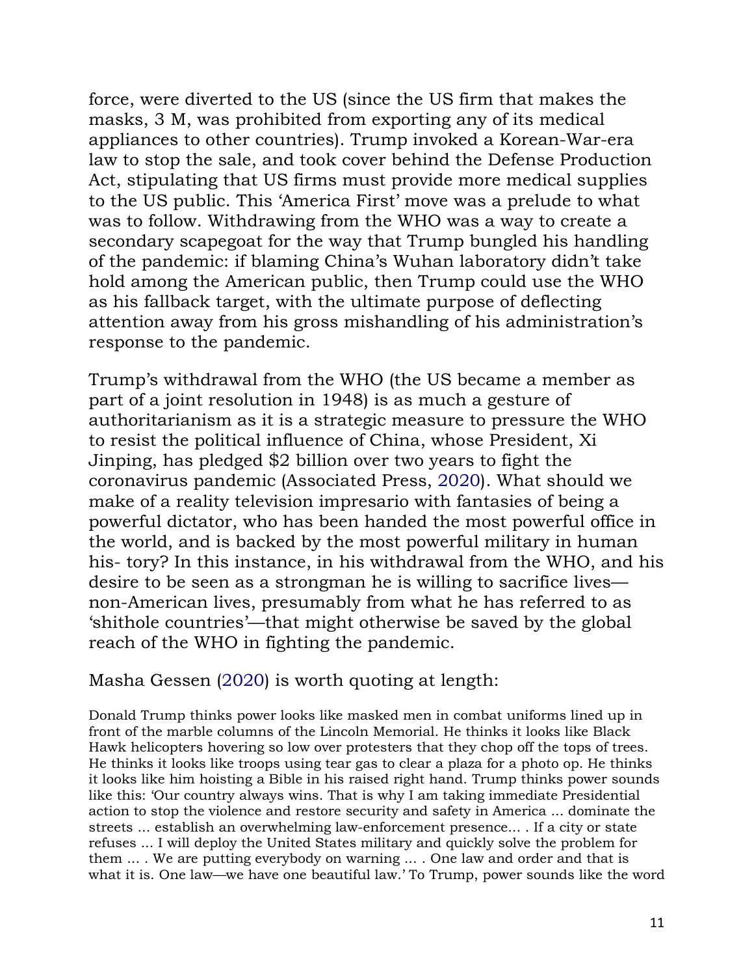force, were diverted to the US (since the US firm that makes the masks, 3 M, was prohibited from exporting any of its medical appliances to other countries). Trump invoked a Korean-War-era law to stop the sale, and took cover behind the Defense Production Act, stipulating that US firms must provide more medical supplies to the US public. This 'America First' move was a prelude to what was to follow. Withdrawing from the WHO was a way to create a secondary scapegoat for the way that Trump bungled his handling of the pandemic: if blaming China's Wuhan laboratory didn't take hold among the American public, then Trump could use the WHO as his fallback target, with the ultimate purpose of deflecting attention away from his gross mishandling of his administration's response to the pandemic.

Trump's withdrawal from the WHO (the US became a member as part of a joint resolution in 1948) is as much a gesture of authoritarianism as it is a strategic measure to pressure the WHO to resist the political influence of China, whose President, Xi Jinping, has pledged \$2 billion over two years to fight the coronavirus pandemic (Associated Press, 2020). What should we make of a reality television impresario with fantasies of being a powerful dictator, who has been handed the most powerful office in the world, and is backed by the most powerful military in human his- tory? In this instance, in his withdrawal from the WHO, and his desire to be seen as a strongman he is willing to sacrifice lives non-American lives, presumably from what he has referred to as 'shithole countries'—that might otherwise be saved by the global reach of the WHO in fighting the pandemic.

Masha Gessen (2020) is worth quoting at length:

Donald Trump thinks power looks like masked men in combat uniforms lined up in front of the marble columns of the Lincoln Memorial. He thinks it looks like Black Hawk helicopters hovering so low over protesters that they chop off the tops of trees. He thinks it looks like troops using tear gas to clear a plaza for a photo op. He thinks it looks like him hoisting a Bible in his raised right hand. Trump thinks power sounds like this: 'Our country always wins. That is why I am taking immediate Presidential action to stop the violence and restore security and safety in America ... dominate the streets ... establish an overwhelming law-enforcement presence... . If a city or state refuses ... I will deploy the United States military and quickly solve the problem for them ... . We are putting everybody on warning ... . One law and order and that is what it is. One law—we have one beautiful law.' To Trump, power sounds like the word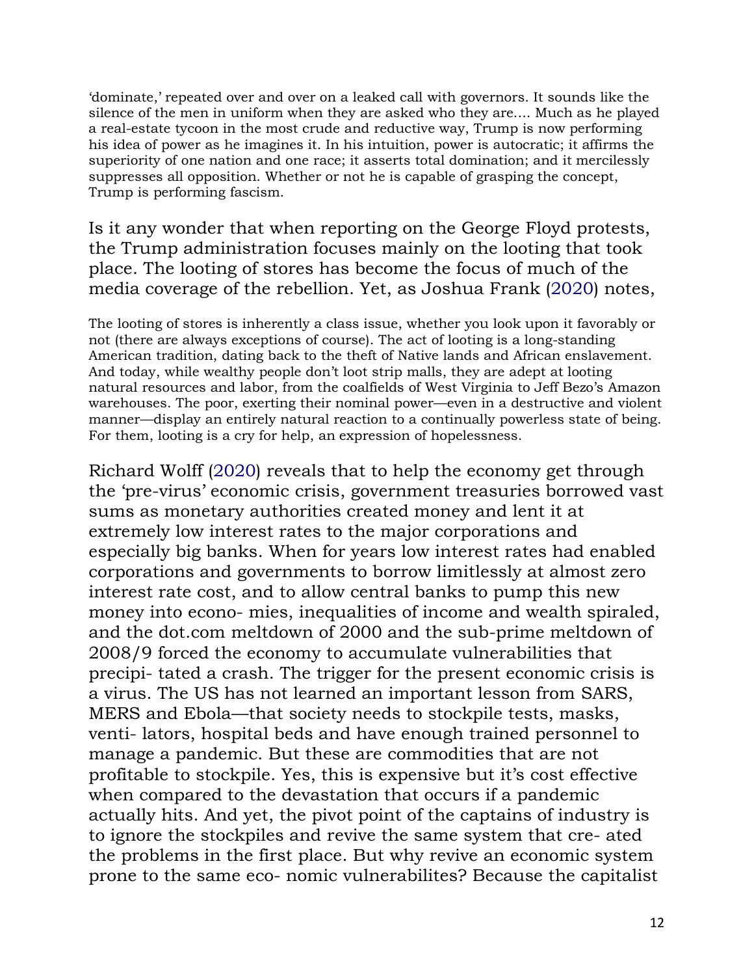'dominate,' repeated over and over on a leaked call with governors. It sounds like the silence of the men in uniform when they are asked who they are.... Much as he played a real-estate tycoon in the most crude and reductive way, Trump is now performing his idea of power as he imagines it. In his intuition, power is autocratic; it affirms the superiority of one nation and one race; it asserts total domination; and it mercilessly suppresses all opposition. Whether or not he is capable of grasping the concept, Trump is performing fascism.

Is it any wonder that when reporting on the George Floyd protests, the Trump administration focuses mainly on the looting that took place. The looting of stores has become the focus of much of the media coverage of the rebellion. Yet, as Joshua Frank (2020) notes,

The looting of stores is inherently a class issue, whether you look upon it favorably or not (there are always exceptions of course). The act of looting is a long-standing American tradition, dating back to the theft of Native lands and African enslavement. And today, while wealthy people don't loot strip malls, they are adept at looting natural resources and labor, from the coalfields of West Virginia to Jeff Bezo's Amazon warehouses. The poor, exerting their nominal power—even in a destructive and violent manner—display an entirely natural reaction to a continually powerless state of being. For them, looting is a cry for help, an expression of hopelessness.

Richard Wolff (2020) reveals that to help the economy get through the 'pre-virus' economic crisis, government treasuries borrowed vast sums as monetary authorities created money and lent it at extremely low interest rates to the major corporations and especially big banks. When for years low interest rates had enabled corporations and governments to borrow limitlessly at almost zero interest rate cost, and to allow central banks to pump this new money into econo- mies, inequalities of income and wealth spiraled, and the dot.com meltdown of 2000 and the sub-prime meltdown of 2008/9 forced the economy to accumulate vulnerabilities that precipi- tated a crash. The trigger for the present economic crisis is a virus. The US has not learned an important lesson from SARS, MERS and Ebola—that society needs to stockpile tests, masks, venti- lators, hospital beds and have enough trained personnel to manage a pandemic. But these are commodities that are not profitable to stockpile. Yes, this is expensive but it's cost effective when compared to the devastation that occurs if a pandemic actually hits. And yet, the pivot point of the captains of industry is to ignore the stockpiles and revive the same system that cre- ated the problems in the first place. But why revive an economic system prone to the same eco- nomic vulnerabilites? Because the capitalist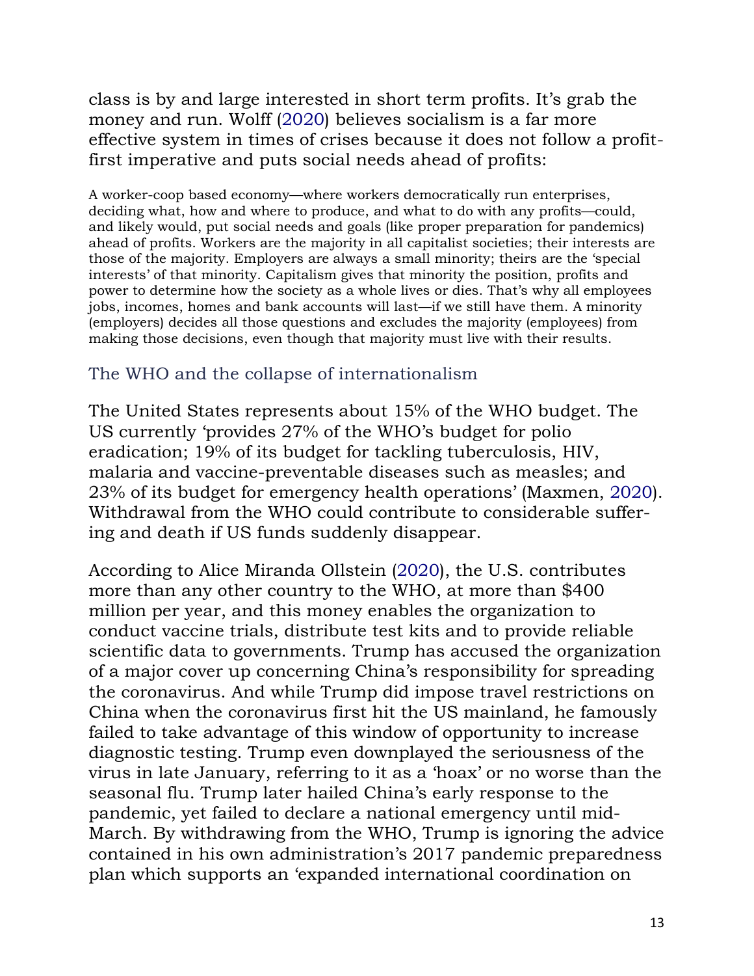class is by and large interested in short term profits. It's grab the money and run. Wolff (2020) believes socialism is a far more effective system in times of crises because it does not follow a profitfirst imperative and puts social needs ahead of profits:

A worker-coop based economy—where workers democratically run enterprises, deciding what, how and where to produce, and what to do with any profits—could, and likely would, put social needs and goals (like proper preparation for pandemics) ahead of profits. Workers are the majority in all capitalist societies; their interests are those of the majority. Employers are always a small minority; theirs are the 'special interests' of that minority. Capitalism gives that minority the position, profits and power to determine how the society as a whole lives or dies. That's why all employees jobs, incomes, homes and bank accounts will last—if we still have them. A minority (employers) decides all those questions and excludes the majority (employees) from making those decisions, even though that majority must live with their results.

# The WHO and the collapse of internationalism

The United States represents about 15% of the WHO budget. The US currently 'provides 27% of the WHO's budget for polio eradication; 19% of its budget for tackling tuberculosis, HIV, malaria and vaccine-preventable diseases such as measles; and 23% of its budget for emergency health operations' (Maxmen, 2020). Withdrawal from the WHO could contribute to considerable suffering and death if US funds suddenly disappear.

According to Alice Miranda Ollstein (2020), the U.S. contributes more than any other country to the WHO, at more than \$400 million per year, and this money enables the organization to conduct vaccine trials, distribute test kits and to provide reliable scientific data to governments. Trump has accused the organization of a major cover up concerning China's responsibility for spreading the coronavirus. And while Trump did impose travel restrictions on China when the coronavirus first hit the US mainland, he famously failed to take advantage of this window of opportunity to increase diagnostic testing. Trump even downplayed the seriousness of the virus in late January, referring to it as a 'hoax' or no worse than the seasonal flu. Trump later hailed China's early response to the pandemic, yet failed to declare a national emergency until mid-March. By withdrawing from the WHO, Trump is ignoring the advice contained in his own administration's 2017 pandemic preparedness plan which supports an 'expanded international coordination on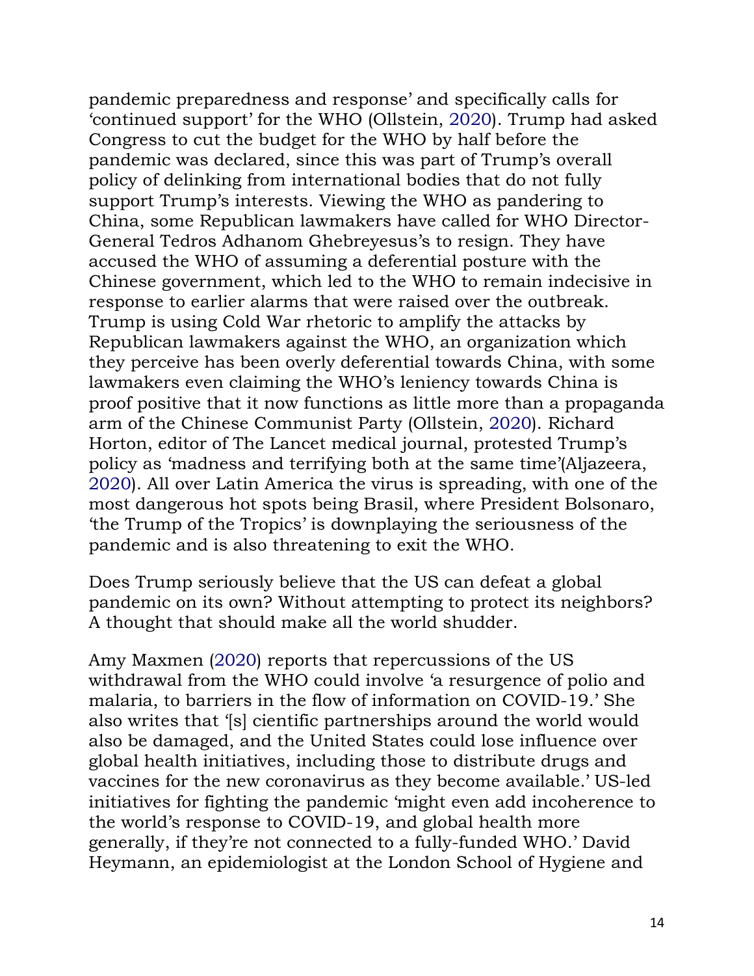pandemic preparedness and response' and specifically calls for 'continued support' for the WHO (Ollstein, 2020). Trump had asked Congress to cut the budget for the WHO by half before the pandemic was declared, since this was part of Trump's overall policy of delinking from international bodies that do not fully support Trump's interests. Viewing the WHO as pandering to China, some Republican lawmakers have called for WHO Director-General Tedros Adhanom Ghebreyesus's to resign. They have accused the WHO of assuming a deferential posture with the Chinese government, which led to the WHO to remain indecisive in response to earlier alarms that were raised over the outbreak. Trump is using Cold War rhetoric to amplify the attacks by Republican lawmakers against the WHO, an organization which they perceive has been overly deferential towards China, with some lawmakers even claiming the WHO's leniency towards China is proof positive that it now functions as little more than a propaganda arm of the Chinese Communist Party (Ollstein, 2020). Richard Horton, editor of The Lancet medical journal, protested Trump's policy as 'madness and terrifying both at the same time'(Aljazeera, 2020). All over Latin America the virus is spreading, with one of the most dangerous hot spots being Brasil, where President Bolsonaro, 'the Trump of the Tropics' is downplaying the seriousness of the pandemic and is also threatening to exit the WHO.

Does Trump seriously believe that the US can defeat a global pandemic on its own? Without attempting to protect its neighbors? A thought that should make all the world shudder.

Amy Maxmen (2020) reports that repercussions of the US withdrawal from the WHO could involve 'a resurgence of polio and malaria, to barriers in the flow of information on COVID-19.' She also writes that '[s] cientific partnerships around the world would also be damaged, and the United States could lose influence over global health initiatives, including those to distribute drugs and vaccines for the new coronavirus as they become available.' US-led initiatives for fighting the pandemic 'might even add incoherence to the world's response to COVID-19, and global health more generally, if they're not connected to a fully-funded WHO.' David Heymann, an epidemiologist at the London School of Hygiene and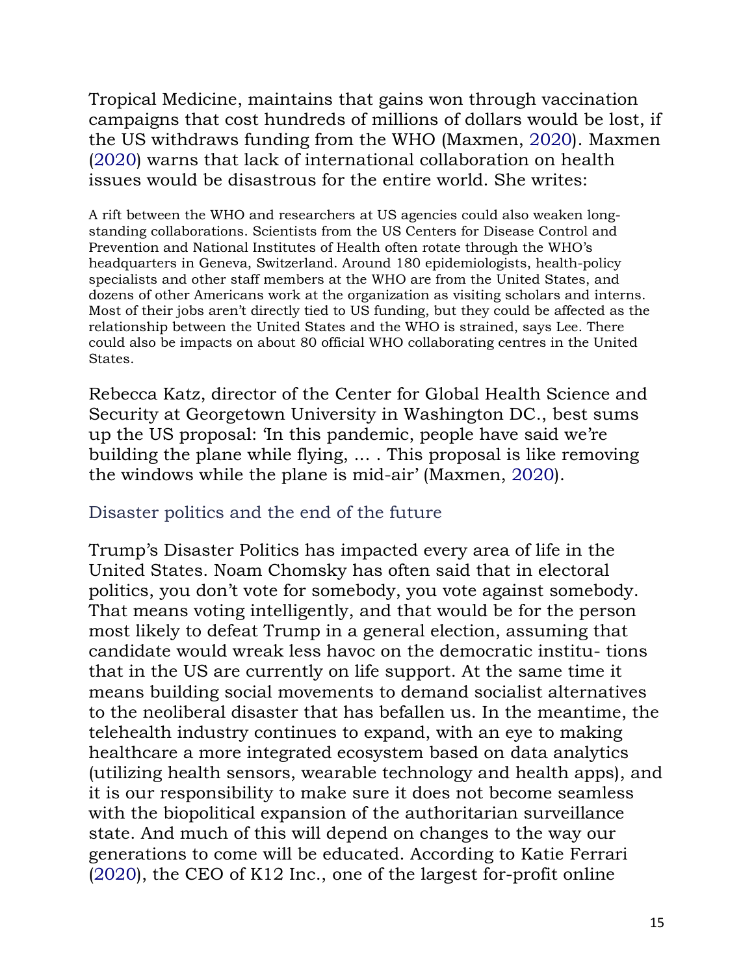Tropical Medicine, maintains that gains won through vaccination campaigns that cost hundreds of millions of dollars would be lost, if the US withdraws funding from the WHO (Maxmen, 2020). Maxmen (2020) warns that lack of international collaboration on health issues would be disastrous for the entire world. She writes:

A rift between the WHO and researchers at US agencies could also weaken longstanding collaborations. Scientists from the US Centers for Disease Control and Prevention and National Institutes of Health often rotate through the WHO's headquarters in Geneva, Switzerland. Around 180 epidemiologists, health-policy specialists and other staff members at the WHO are from the United States, and dozens of other Americans work at the organization as visiting scholars and interns. Most of their jobs aren't directly tied to US funding, but they could be affected as the relationship between the United States and the WHO is strained, says Lee. There could also be impacts on about 80 official WHO collaborating centres in the United States.

Rebecca Katz, director of the Center for Global Health Science and Security at Georgetown University in Washington DC., best sums up the US proposal: 'In this pandemic, people have said we're building the plane while flying, ... . This proposal is like removing the windows while the plane is mid-air' (Maxmen, 2020).

#### Disaster politics and the end of the future

Trump's Disaster Politics has impacted every area of life in the United States. Noam Chomsky has often said that in electoral politics, you don't vote for somebody, you vote against somebody. That means voting intelligently, and that would be for the person most likely to defeat Trump in a general election, assuming that candidate would wreak less havoc on the democratic institu- tions that in the US are currently on life support. At the same time it means building social movements to demand socialist alternatives to the neoliberal disaster that has befallen us. In the meantime, the telehealth industry continues to expand, with an eye to making healthcare a more integrated ecosystem based on data analytics (utilizing health sensors, wearable technology and health apps), and it is our responsibility to make sure it does not become seamless with the biopolitical expansion of the authoritarian surveillance state. And much of this will depend on changes to the way our generations to come will be educated. According to Katie Ferrari (2020), the CEO of K12 Inc., one of the largest for-profit online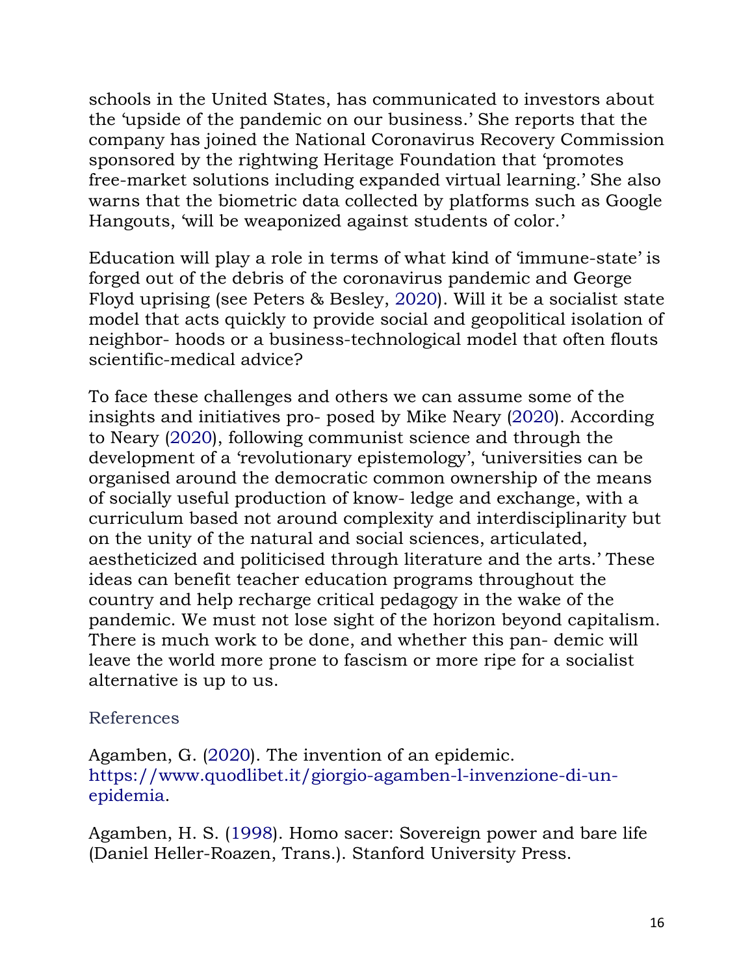schools in the United States, has communicated to investors about the 'upside of the pandemic on our business.' She reports that the company has joined the National Coronavirus Recovery Commission sponsored by the rightwing Heritage Foundation that 'promotes free-market solutions including expanded virtual learning.' She also warns that the biometric data collected by platforms such as Google Hangouts, 'will be weaponized against students of color.'

Education will play a role in terms of what kind of 'immune-state' is forged out of the debris of the coronavirus pandemic and George Floyd uprising (see Peters & Besley, 2020). Will it be a socialist state model that acts quickly to provide social and geopolitical isolation of neighbor- hoods or a business-technological model that often flouts scientific-medical advice?

To face these challenges and others we can assume some of the insights and initiatives pro- posed by Mike Neary (2020). According to Neary (2020), following communist science and through the development of a 'revolutionary epistemology', 'universities can be organised around the democratic common ownership of the means of socially useful production of know- ledge and exchange, with a curriculum based not around complexity and interdisciplinarity but on the unity of the natural and social sciences, articulated, aestheticized and politicised through literature and the arts.' These ideas can benefit teacher education programs throughout the country and help recharge critical pedagogy in the wake of the pandemic. We must not lose sight of the horizon beyond capitalism. There is much work to be done, and whether this pan- demic will leave the world more prone to fascism or more ripe for a socialist alternative is up to us.

# References

Agamben, G. (2020). The invention of an epidemic. https://www.quodlibet.it/giorgio-agamben-l-invenzione-di-unepidemia.

Agamben, H. S. (1998). Homo sacer: Sovereign power and bare life (Daniel Heller-Roazen, Trans.). Stanford University Press.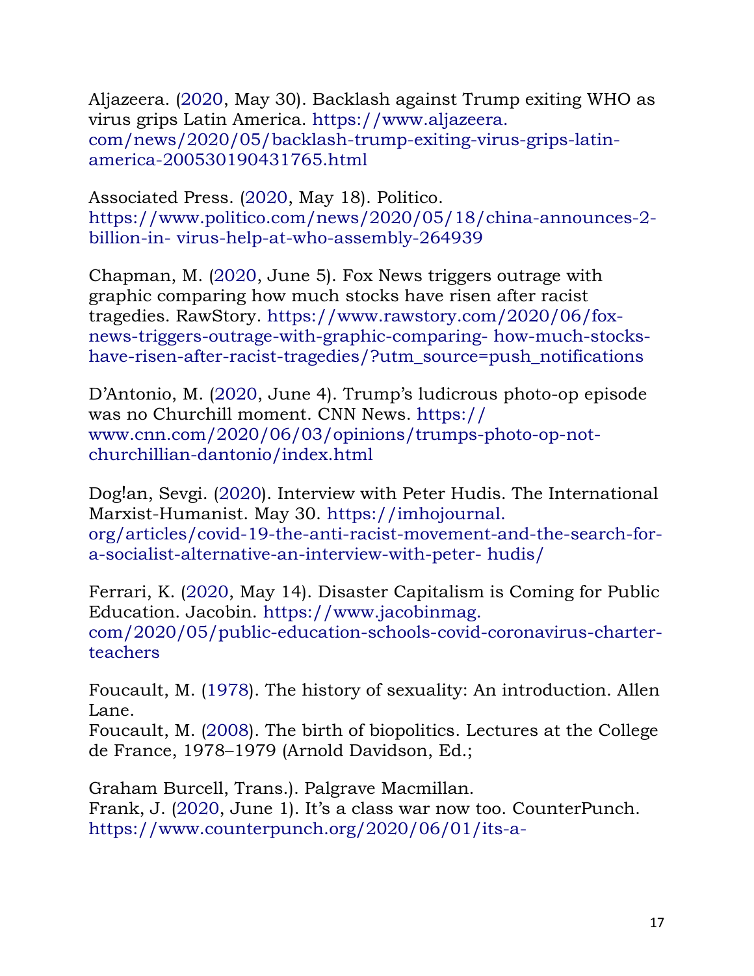Aljazeera. (2020, May 30). Backlash against Trump exiting WHO as virus grips Latin America. https://www.aljazeera. com/news/2020/05/backlash-trump-exiting-virus-grips-latinamerica-200530190431765.html

Associated Press. (2020, May 18). Politico. https://www.politico.com/news/2020/05/18/china-announces-2 billion-in- virus-help-at-who-assembly-264939

Chapman, M. (2020, June 5). Fox News triggers outrage with graphic comparing how much stocks have risen after racist tragedies. RawStory. https://www.rawstory.com/2020/06/foxnews-triggers-outrage-with-graphic-comparing- how-much-stockshave-risen-after-racist-tragedies/?utm\_source=push\_notifications

D'Antonio, M. (2020, June 4). Trump's ludicrous photo-op episode was no Churchill moment. CNN News. https:// www.cnn.com/2020/06/03/opinions/trumps-photo-op-notchurchillian-dantonio/index.html

Dog!an, Sevgi. (2020). Interview with Peter Hudis. The International Marxist-Humanist. May 30. https://imhojournal. org/articles/covid-19-the-anti-racist-movement-and-the-search-fora-socialist-alternative-an-interview-with-peter- hudis/

Ferrari, K. (2020, May 14). Disaster Capitalism is Coming for Public Education. Jacobin. https://www.jacobinmag. com/2020/05/public-education-schools-covid-coronavirus-charterteachers

Foucault, M. (1978). The history of sexuality: An introduction. Allen Lane.

Foucault, M. (2008). The birth of biopolitics. Lectures at the College de France, 1978–1979 (Arnold Davidson, Ed.;

Graham Burcell, Trans.). Palgrave Macmillan. Frank, J. (2020, June 1). It's a class war now too. CounterPunch. https://www.counterpunch.org/2020/06/01/its-a-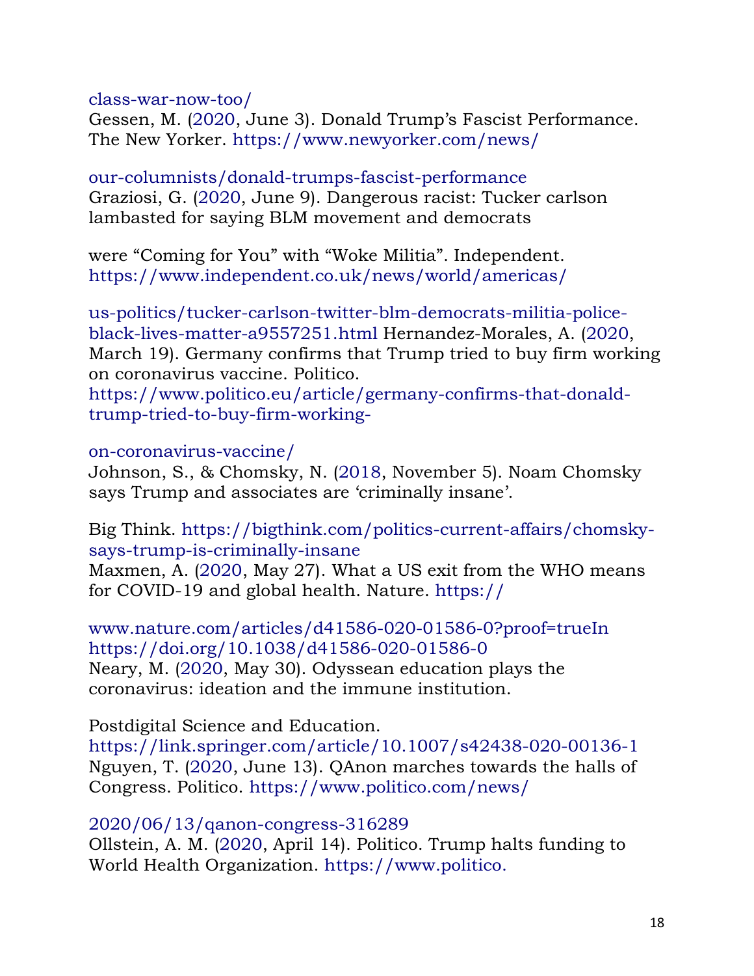### class-war-now-too/

Gessen, M. (2020, June 3). Donald Trump's Fascist Performance. The New Yorker. https://www.newyorker.com/news/

### our-columnists/donald-trumps-fascist-performance Graziosi, G. (2020, June 9). Dangerous racist: Tucker carlson lambasted for saying BLM movement and democrats

were "Coming for You" with "Woke Militia". Independent. https://www.independent.co.uk/news/world/americas/

us-politics/tucker-carlson-twitter-blm-democrats-militia-policeblack-lives-matter-a9557251.html Hernandez-Morales, A. (2020, March 19). Germany confirms that Trump tried to buy firm working on coronavirus vaccine. Politico.

https://www.politico.eu/article/germany-confirms-that-donaldtrump-tried-to-buy-firm-working-

#### on-coronavirus-vaccine/

Johnson, S., & Chomsky, N. (2018, November 5). Noam Chomsky says Trump and associates are 'criminally insane'.

Big Think. https://bigthink.com/politics-current-affairs/chomskysays-trump-is-criminally-insane

Maxmen, A. (2020, May 27). What a US exit from the WHO means for COVID-19 and global health. Nature. https://

www.nature.com/articles/d41586-020-01586-0?proof=trueIn https://doi.org/10.1038/d41586-020-01586-0 Neary, M. (2020, May 30). Odyssean education plays the coronavirus: ideation and the immune institution.

Postdigital Science and Education. https://link.springer.com/article/10.1007/s42438-020-00136-1

Nguyen, T. (2020, June 13). QAnon marches towards the halls of Congress. Politico. https://www.politico.com/news/

# 2020/06/13/qanon-congress-316289

Ollstein, A. M. (2020, April 14). Politico. Trump halts funding to World Health Organization. https://www.politico.